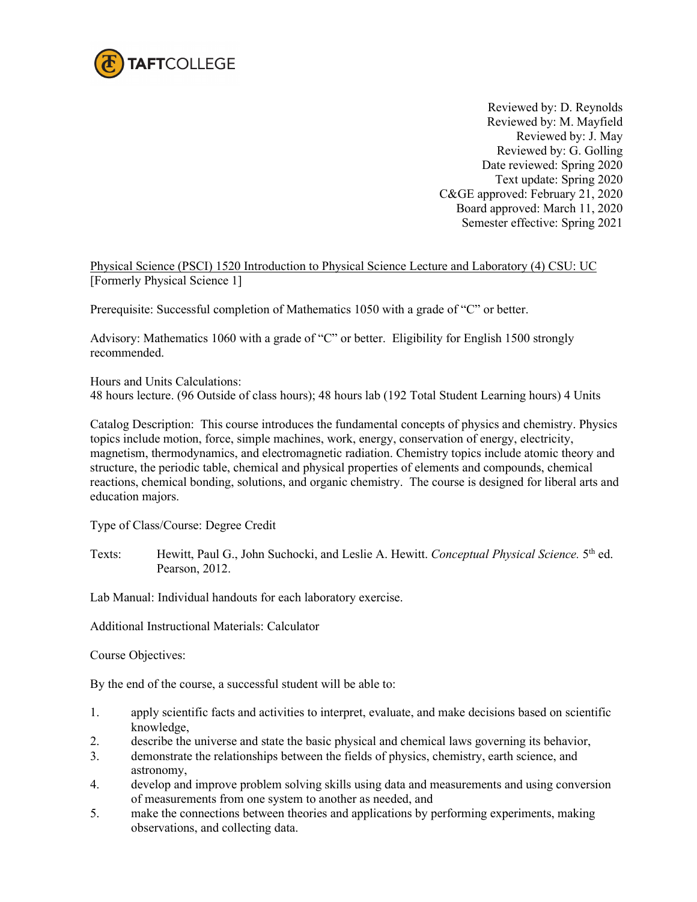

Reviewed by: D. Reynolds Reviewed by: M. Mayfield Reviewed by: J. May Reviewed by: G. Golling Date reviewed: Spring 2020 Text update: Spring 2020 C&GE approved: February 21, 2020 Board approved: March 11, 2020 Semester effective: Spring 2021

Physical Science (PSCI) 1520 Introduction to Physical Science Lecture and Laboratory (4) CSU: UC [Formerly Physical Science 1]

Prerequisite: Successful completion of Mathematics 1050 with a grade of "C" or better.

Advisory: Mathematics 1060 with a grade of "C" or better. Eligibility for English 1500 strongly recommended.

Hours and Units Calculations:

48 hours lecture. (96 Outside of class hours); 48 hours lab (192 Total Student Learning hours) 4 Units

Catalog Description: This course introduces the fundamental concepts of physics and chemistry. Physics topics include motion, force, simple machines, work, energy, conservation of energy, electricity, magnetism, thermodynamics, and electromagnetic radiation. Chemistry topics include atomic theory and structure, the periodic table, chemical and physical properties of elements and compounds, chemical reactions, chemical bonding, solutions, and organic chemistry. The course is designed for liberal arts and education majors.

Type of Class/Course: Degree Credit

Texts: Hewitt, Paul G., John Suchocki, and Leslie A. Hewitt. *Conceptual Physical Science*. 5<sup>th</sup> ed. Pearson, 2012.

Lab Manual: Individual handouts for each laboratory exercise.

Additional Instructional Materials: Calculator

Course Objectives:

By the end of the course, a successful student will be able to:

- 1. apply scientific facts and activities to interpret, evaluate, and make decisions based on scientific knowledge,
- 2. describe the universe and state the basic physical and chemical laws governing its behavior,
- 3. demonstrate the relationships between the fields of physics, chemistry, earth science, and astronomy,
- 4. develop and improve problem solving skills using data and measurements and using conversion of measurements from one system to another as needed, and
- 5. make the connections between theories and applications by performing experiments, making observations, and collecting data.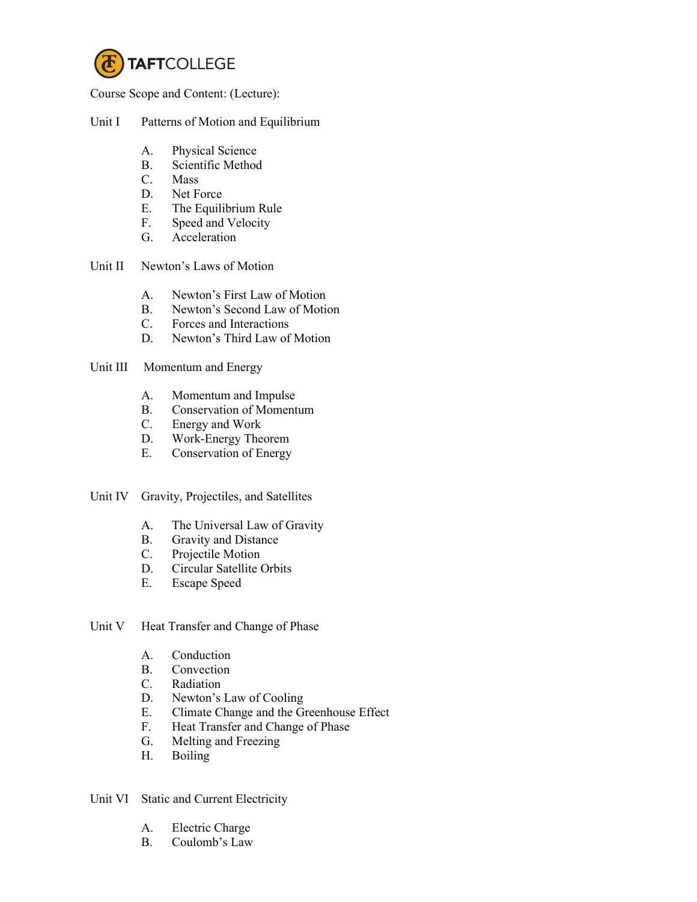

Course Scope and Content: (Lecture):

# Unit I Patterns of Motion and Equilibrium

- A. Physical Science
- B. Scientific Method
- C. Mass
- D. Net Force
- E. The Equilibrium Rule
- F. Speed and Velocity
- G. Acceleration
- Unit II Newton's Laws of Motion
	- A. Newton's First Law of Motion
	- B. Newton's Second Law of Motion
	- C. Forces and Interactions
	- D. Newton's Third Law of Motion

# Unit III Momentum and Energy

- A. Momentum and Impulse
- B. Conservation of Momentum
- C. Energy and Work
- D. Work-Energy Theorem
- E. Conservation of Energy
- Unit IV Gravity, Projectiles, and Satellites
	- A. The Universal Law of Gravity
	- B. Gravity and Distance
	- C. Projectile Motion
	- D. Circular Satellite Orbits<br>E. Escape Speed
	- Escape Speed
- Unit V Heat Transfer and Change of Phase
	- A. Conduction
	- B. Convection
	- C. Radiation
	- D. Newton's Law of Cooling
	- E. Climate Change and the Greenhouse Effect<br>F. Heat Transfer and Change of Phase
	- Heat Transfer and Change of Phase
	- G. Melting and Freezing
	- H. Boiling

Unit VI Static and Current Electricity

- A. Electric Charge
- B. Coulomb's Law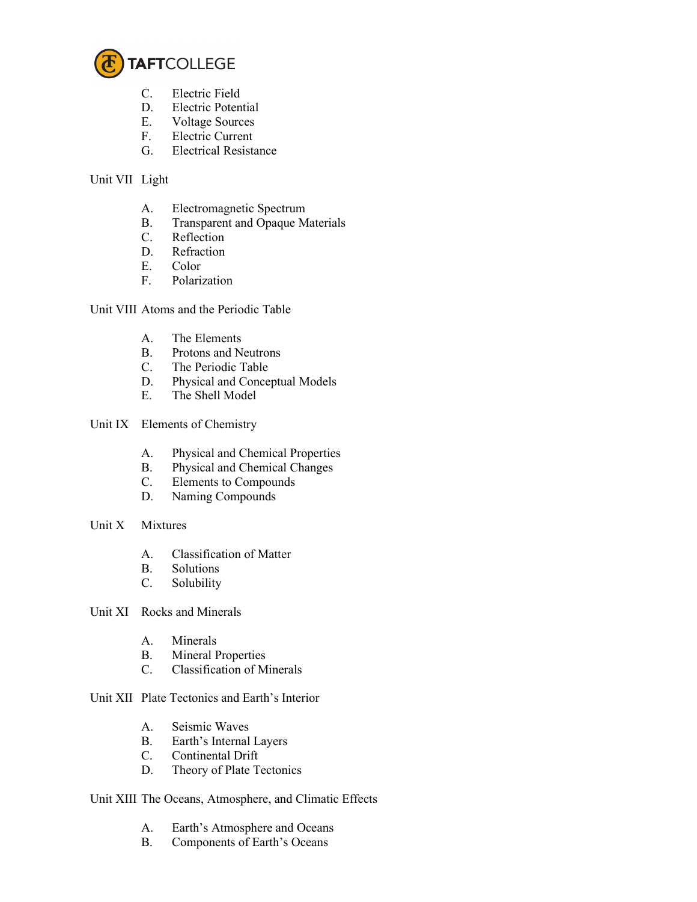

- C. Electric Field
- D. Electric Potential
- E. Voltage Sources
- F. Electric Current
- G. Electrical Resistance

### Unit VII Light

- A. Electromagnetic Spectrum
- B. Transparent and Opaque Materials
- C. Reflection<br>D. Refraction
- Refraction
- E. Color
- F. Polarization

Unit VIII Atoms and the Periodic Table

- A. The Elements
- B. Protons and Neutrons
- C. The Periodic Table
- D. Physical and Conceptual Models
- E. The Shell Model
- Unit IX Elements of Chemistry
	- A. Physical and Chemical Properties
	- B. Physical and Chemical Changes
	- C. Elements to Compounds
	- D. Naming Compounds
- Unit X Mixtures
	- A. Classification of Matter
	- B. Solutions<br>C. Solubility
	- Solubility

Unit XI Rocks and Minerals

- A. Minerals
- B. Mineral Properties
- C. Classification of Minerals

Unit XII Plate Tectonics and Earth's Interior

- A. Seismic Waves
- B. Earth's Internal Layers
- C. Continental Drift
- D. Theory of Plate Tectonics

Unit XIII The Oceans, Atmosphere, and Climatic Effects

- A. Earth's Atmosphere and Oceans
- B. Components of Earth's Oceans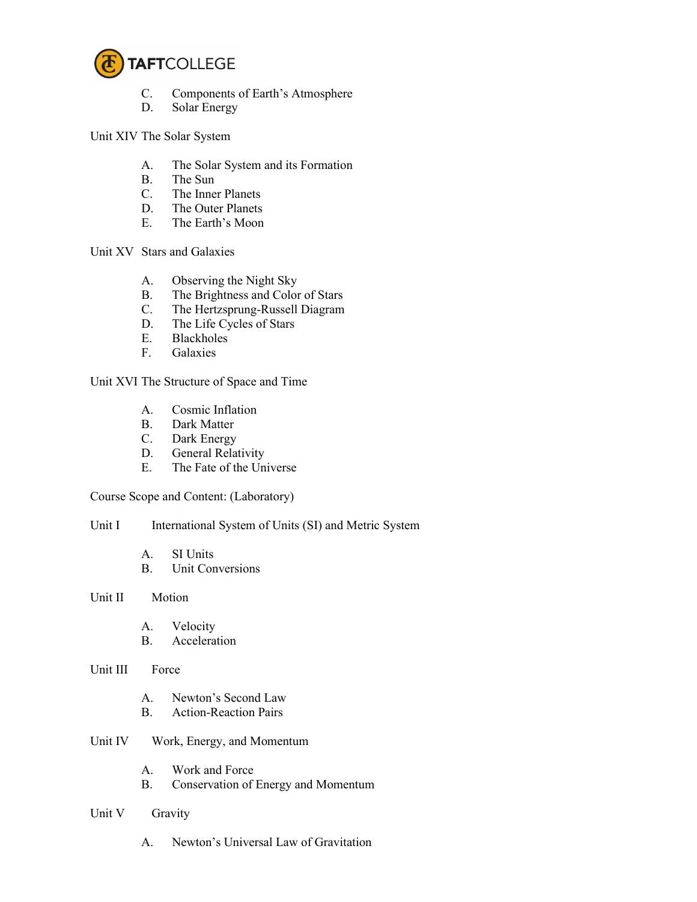

- C. Components of Earth's Atmosphere
- D. Solar Energy

Unit XIV The Solar System

- A. The Solar System and its Formation
- B. The Sun
- C. The Inner Planets
- D. The Outer Planets
- E. The Earth's Moon

Unit XV Stars and Galaxies

- A. Observing the Night Sky
- B. The Brightness and Color of Stars
- C. The Hertzsprung-Russell Diagram
- D. The Life Cycles of Stars
- E. Blackholes
- F. Galaxies

Unit XVI The Structure of Space and Time

- A. Cosmic Inflation
- B. Dark Matter<br>C. Dark Energy
- Dark Energy
- D. General Relativity
- E. The Fate of the Universe

Course Scope and Content: (Laboratory)

Unit I International System of Units (SI) and Metric System

- A. SI Units
- B. Unit Conversions

#### Unit II Motion

- A. Velocity
- B. Acceleration

#### Unit III Force

- A. Newton's Second Law
- B. Action-Reaction Pairs
- Unit IV Work, Energy, and Momentum
	- A. Work and Force
	- B. Conservation of Energy and Momentum
- Unit V Gravity
	- A. Newton's Universal Law of Gravitation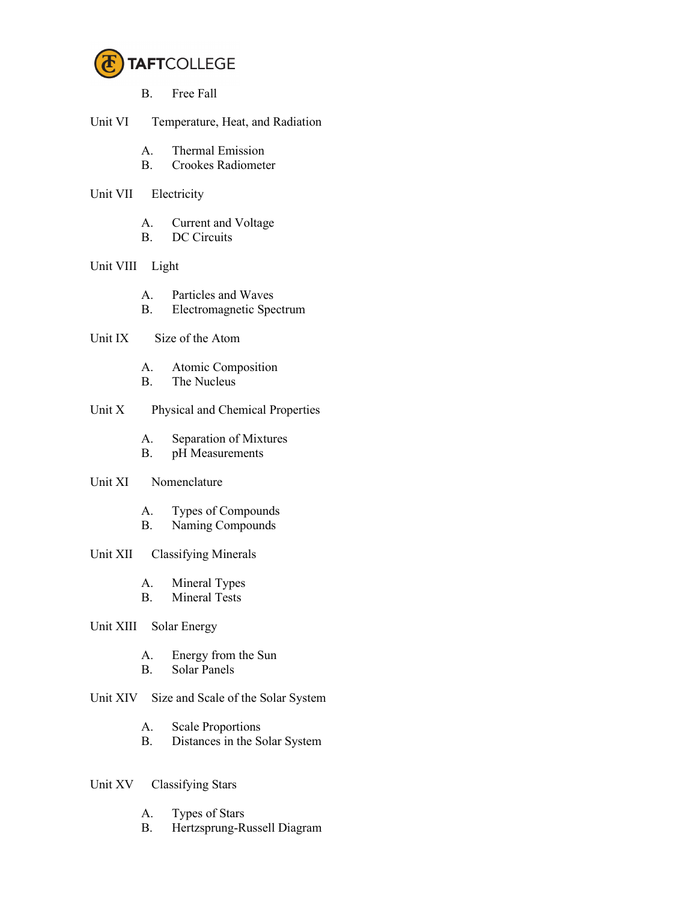

- B. Free Fall
- Unit VI Temperature, Heat, and Radiation
	- A. Thermal Emission
	- B. Crookes Radiometer
- Unit VII Electricity
	- A. Current and Voltage
	- B. DC Circuits

### Unit VIII Light

- A. Particles and Waves
- B. Electromagnetic Spectrum

# Unit IX Size of the Atom

- A. Atomic Composition
- B. The Nucleus

## Unit X Physical and Chemical Properties

- A. Separation of Mixtures
- B. pH Measurements

### Unit XI Nomenclature

- A. Types of Compounds
- B. Naming Compounds

## Unit XII Classifying Minerals

- A. Mineral Types
- B. Mineral Tests

## Unit XIII Solar Energy

- A. Energy from the Sun
- B. Solar Panels
- Unit XIV Size and Scale of the Solar System
	- A. Scale Proportions
	- B. Distances in the Solar System

### Unit XV Classifying Stars

- A. Types of Stars
- B. Hertzsprung-Russell Diagram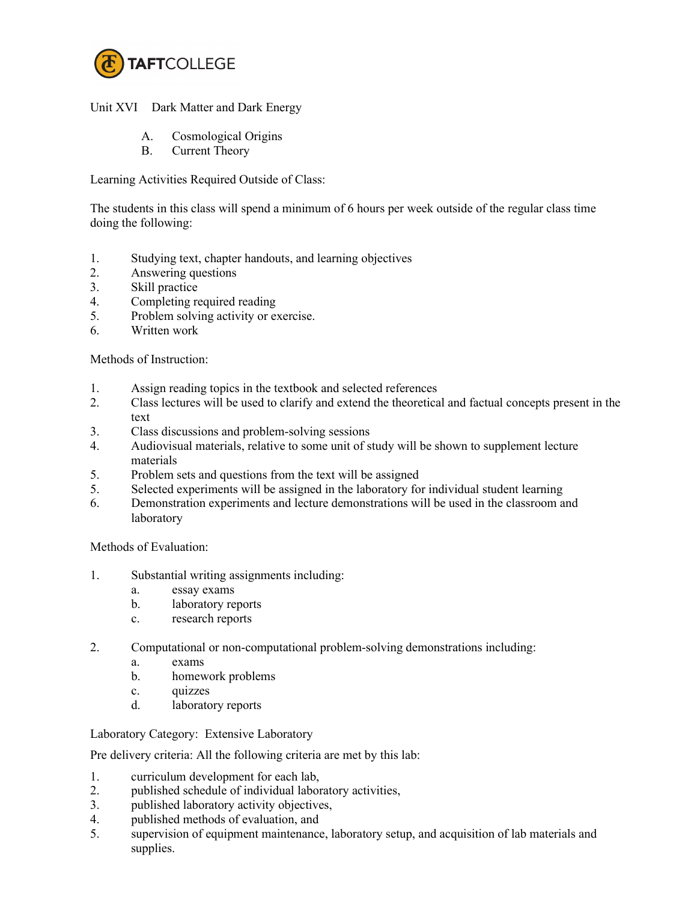

Unit XVI Dark Matter and Dark Energy

- A. Cosmological Origins
- B. Current Theory

Learning Activities Required Outside of Class:

The students in this class will spend a minimum of 6 hours per week outside of the regular class time doing the following:

- 1. Studying text, chapter handouts, and learning objectives
- 2. Answering questions
- 3. Skill practice
- 4. Completing required reading
- 5. Problem solving activity or exercise.
- 6. Written work

Methods of Instruction:

- 1. Assign reading topics in the textbook and selected references
- 2. Class lectures will be used to clarify and extend the theoretical and factual concepts present in the text
- 3. Class discussions and problem-solving sessions
- 4. Audiovisual materials, relative to some unit of study will be shown to supplement lecture materials
- 5. Problem sets and questions from the text will be assigned
- 5. Selected experiments will be assigned in the laboratory for individual student learning
- 6. Demonstration experiments and lecture demonstrations will be used in the classroom and laboratory

Methods of Evaluation:

- 1. Substantial writing assignments including:
	- a. essay exams
	- b. laboratory reports
	- c. research reports
- 2. Computational or non-computational problem-solving demonstrations including:
	- a. exams
	- b. homework problems
	- c. quizzes
	- d. laboratory reports

Laboratory Category: Extensive Laboratory

Pre delivery criteria: All the following criteria are met by this lab:

- 1. curriculum development for each lab,
- 2. published schedule of individual laboratory activities,
- 3. published laboratory activity objectives,
- 4. published methods of evaluation, and
- 5. supervision of equipment maintenance, laboratory setup, and acquisition of lab materials and supplies.